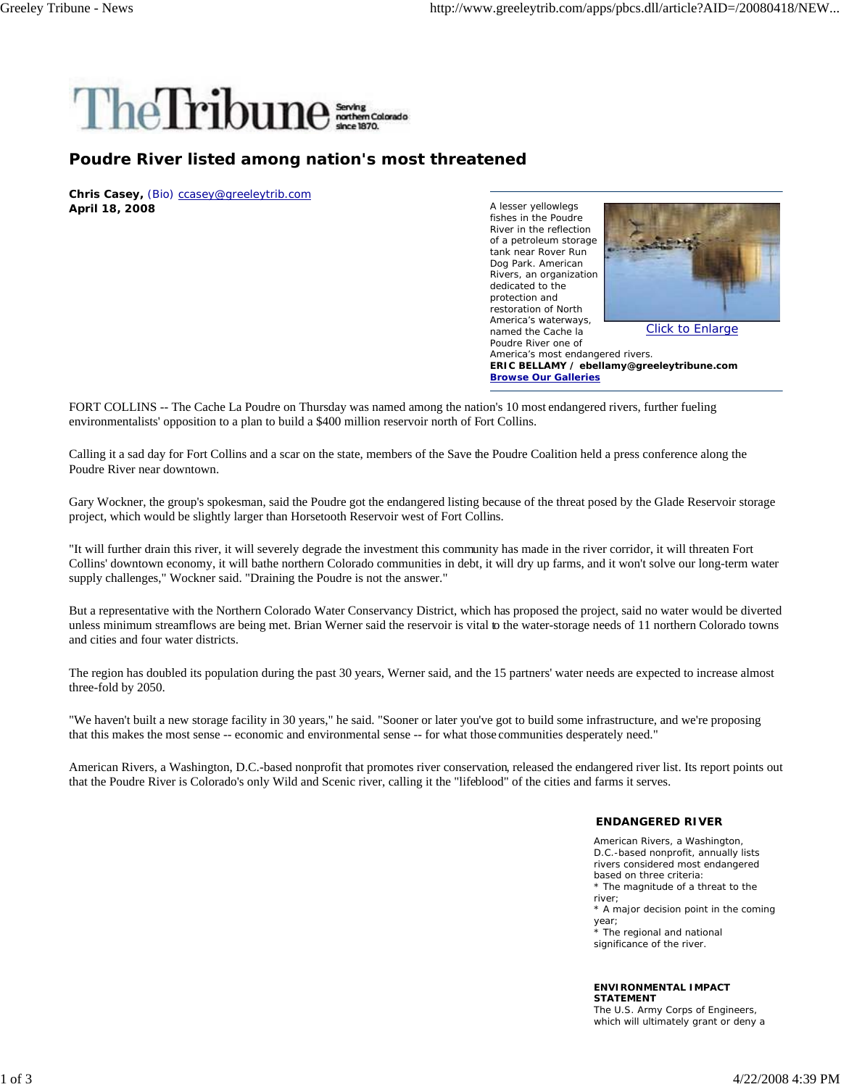

## **Poudre River listed among nation's most threatened**

**Chris Casey,** (Bio) ccasey@greeleytrib.com **April 18, 2008**

A lesser yellowlegs fishes in the Poudre River in the reflection of a petroleum storage tank near Rover Run Dog Park. American Rivers, an organization dedicated to the protection and restoration of North America's waterways, named the Cache la Poudre River one of



Click to Enlarge

America's most endangered rivers. **ERIC BELLAMY / ebellamy@greeleytribune.com Browse Our Galleries**

FORT COLLINS -- The Cache La Poudre on Thursday was named among the nation's 10 most endangered rivers, further fueling environmentalists' opposition to a plan to build a \$400 million reservoir north of Fort Collins.

Calling it a sad day for Fort Collins and a scar on the state, members of the Save the Poudre Coalition held a press conference along the Poudre River near downtown.

Gary Wockner, the group's spokesman, said the Poudre got the endangered listing because of the threat posed by the Glade Reservoir storage project, which would be slightly larger than Horsetooth Reservoir west of Fort Collins.

"It will further drain this river, it will severely degrade the investment this community has made in the river corridor, it will threaten Fort Collins' downtown economy, it will bathe northern Colorado communities in debt, it will dry up farms, and it won't solve our long-term water supply challenges," Wockner said. "Draining the Poudre is not the answer."

But a representative with the Northern Colorado Water Conservancy District, which has proposed the project, said no water would be diverted unless minimum streamflows are being met. Brian Werner said the reservoir is vital to the water-storage needs of 11 northern Colorado towns and cities and four water districts.

The region has doubled its population during the past 30 years, Werner said, and the 15 partners' water needs are expected to increase almost three-fold by 2050.

"We haven't built a new storage facility in 30 years," he said. "Sooner or later you've got to build some infrastructure, and we're proposing that this makes the most sense -- economic and environmental sense -- for what those communities desperately need."

American Rivers, a Washington, D.C.-based nonprofit that promotes river conservation, released the endangered river list. Its report points out that the Poudre River is Colorado's only Wild and Scenic river, calling it the "lifeblood" of the cities and farms it serves.

## **ENDANGERED RIVER**

American Rivers, a Washington, D.C.-based nonprofit, annually lists rivers considered most endangered based on three criteria: \* The magnitude of a threat to the river; \* A major decision point in the coming year; \* The regional and national significance of the river.

## **ENVIRONMENTAL IMPACT STATEMENT**

The U.S. Army Corps of Engineers, which will ultimately grant or deny a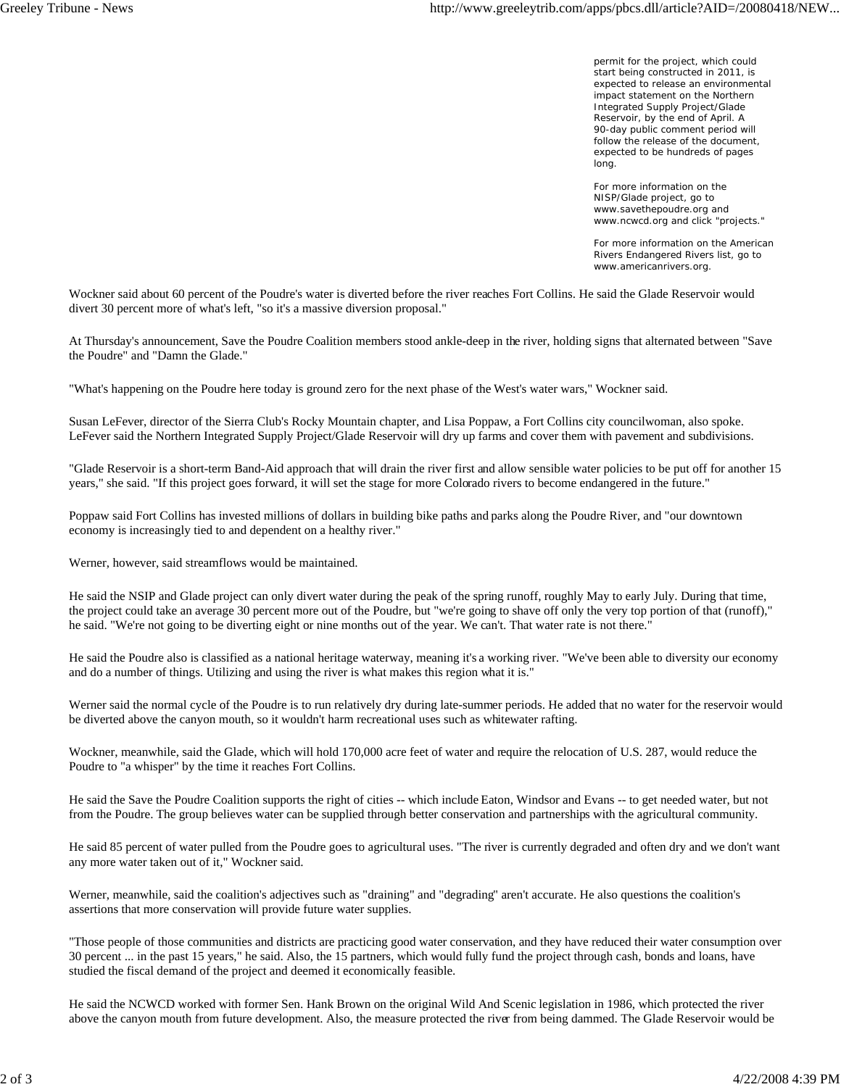permit for the project, which could start being constructed in 2011, is expected to release an environmental impact statement on the Northern Integrated Supply Project/Glade Reservoir, by the end of April. A 90-day public comment period will follow the release of the document, expected to be hundreds of pages long.

For more information on the NISP/Glade project, go to www.savethepoudre.org and www.ncwcd.org and click "projects."

For more information on the American Rivers Endangered Rivers list, go to www.americanrivers.org.

Wockner said about 60 percent of the Poudre's water is diverted before the river reaches Fort Collins. He said the Glade Reservoir would divert 30 percent more of what's left, "so it's a massive diversion proposal."

At Thursday's announcement, Save the Poudre Coalition members stood ankle-deep in the river, holding signs that alternated between "Save the Poudre" and "Damn the Glade."

"What's happening on the Poudre here today is ground zero for the next phase of the West's water wars," Wockner said.

Susan LeFever, director of the Sierra Club's Rocky Mountain chapter, and Lisa Poppaw, a Fort Collins city councilwoman, also spoke. LeFever said the Northern Integrated Supply Project/Glade Reservoir will dry up farms and cover them with pavement and subdivisions.

"Glade Reservoir is a short-term Band-Aid approach that will drain the river first and allow sensible water policies to be put off for another 15 years," she said. "If this project goes forward, it will set the stage for more Colorado rivers to become endangered in the future."

Poppaw said Fort Collins has invested millions of dollars in building bike paths and parks along the Poudre River, and "our downtown economy is increasingly tied to and dependent on a healthy river."

Werner, however, said streamflows would be maintained.

He said the NSIP and Glade project can only divert water during the peak of the spring runoff, roughly May to early July. During that time, the project could take an average 30 percent more out of the Poudre, but "we're going to shave off only the very top portion of that (runoff)," he said. "We're not going to be diverting eight or nine months out of the year. We can't. That water rate is not there."

He said the Poudre also is classified as a national heritage waterway, meaning it's a working river. "We've been able to diversity our economy and do a number of things. Utilizing and using the river is what makes this region what it is."

Werner said the normal cycle of the Poudre is to run relatively dry during late-summer periods. He added that no water for the reservoir would be diverted above the canyon mouth, so it wouldn't harm recreational uses such as whitewater rafting.

Wockner, meanwhile, said the Glade, which will hold 170,000 acre feet of water and require the relocation of U.S. 287, would reduce the Poudre to "a whisper" by the time it reaches Fort Collins.

He said the Save the Poudre Coalition supports the right of cities -- which include Eaton, Windsor and Evans -- to get needed water, but not from the Poudre. The group believes water can be supplied through better conservation and partnerships with the agricultural community.

He said 85 percent of water pulled from the Poudre goes to agricultural uses. "The river is currently degraded and often dry and we don't want any more water taken out of it," Wockner said.

Werner, meanwhile, said the coalition's adjectives such as "draining" and "degrading" aren't accurate. He also questions the coalition's assertions that more conservation will provide future water supplies.

"Those people of those communities and districts are practicing good water conservation, and they have reduced their water consumption over 30 percent ... in the past 15 years," he said. Also, the 15 partners, which would fully fund the project through cash, bonds and loans, have studied the fiscal demand of the project and deemed it economically feasible.

He said the NCWCD worked with former Sen. Hank Brown on the original Wild And Scenic legislation in 1986, which protected the river above the canyon mouth from future development. Also, the measure protected the river from being dammed. The Glade Reservoir would be